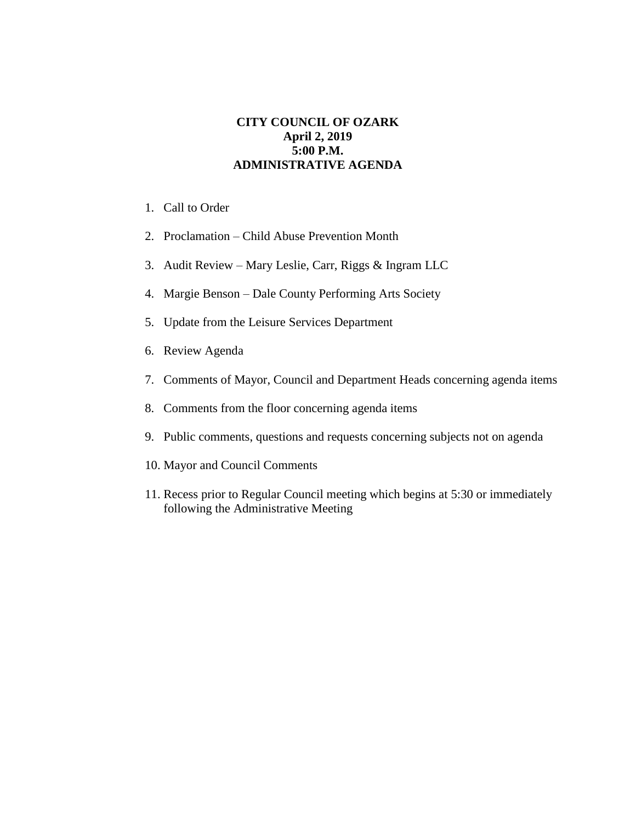## **CITY COUNCIL OF OZARK April 2, 2019 5:00 P.M. ADMINISTRATIVE AGENDA**

- 1. Call to Order
- 2. Proclamation Child Abuse Prevention Month
- 3. Audit Review Mary Leslie, Carr, Riggs & Ingram LLC
- 4. Margie Benson Dale County Performing Arts Society
- 5. Update from the Leisure Services Department
- 6. Review Agenda
- 7. Comments of Mayor, Council and Department Heads concerning agenda items
- 8. Comments from the floor concerning agenda items
- 9. Public comments, questions and requests concerning subjects not on agenda
- 10. Mayor and Council Comments
- 11. Recess prior to Regular Council meeting which begins at 5:30 or immediately following the Administrative Meeting